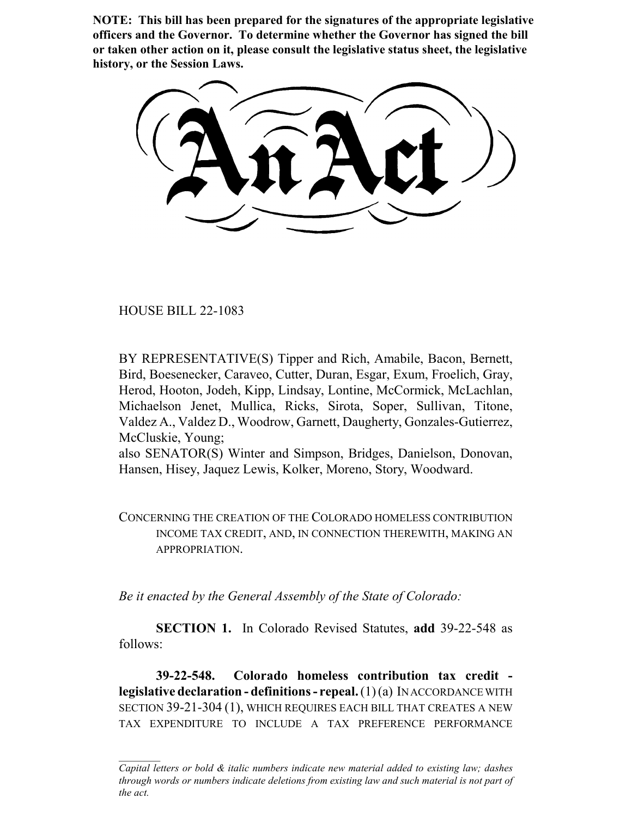**NOTE: This bill has been prepared for the signatures of the appropriate legislative officers and the Governor. To determine whether the Governor has signed the bill or taken other action on it, please consult the legislative status sheet, the legislative history, or the Session Laws.**

HOUSE BILL 22-1083

BY REPRESENTATIVE(S) Tipper and Rich, Amabile, Bacon, Bernett, Bird, Boesenecker, Caraveo, Cutter, Duran, Esgar, Exum, Froelich, Gray, Herod, Hooton, Jodeh, Kipp, Lindsay, Lontine, McCormick, McLachlan, Michaelson Jenet, Mullica, Ricks, Sirota, Soper, Sullivan, Titone, Valdez A., Valdez D., Woodrow, Garnett, Daugherty, Gonzales-Gutierrez, McCluskie, Young;

also SENATOR(S) Winter and Simpson, Bridges, Danielson, Donovan, Hansen, Hisey, Jaquez Lewis, Kolker, Moreno, Story, Woodward.

CONCERNING THE CREATION OF THE COLORADO HOMELESS CONTRIBUTION INCOME TAX CREDIT, AND, IN CONNECTION THEREWITH, MAKING AN APPROPRIATION.

*Be it enacted by the General Assembly of the State of Colorado:*

**SECTION 1.** In Colorado Revised Statutes, **add** 39-22-548 as follows:

**39-22-548. Colorado homeless contribution tax credit legislative declaration - definitions - repeal.** (1) (a) IN ACCORDANCE WITH SECTION 39-21-304 (1), WHICH REQUIRES EACH BILL THAT CREATES A NEW TAX EXPENDITURE TO INCLUDE A TAX PREFERENCE PERFORMANCE

*Capital letters or bold & italic numbers indicate new material added to existing law; dashes through words or numbers indicate deletions from existing law and such material is not part of the act.*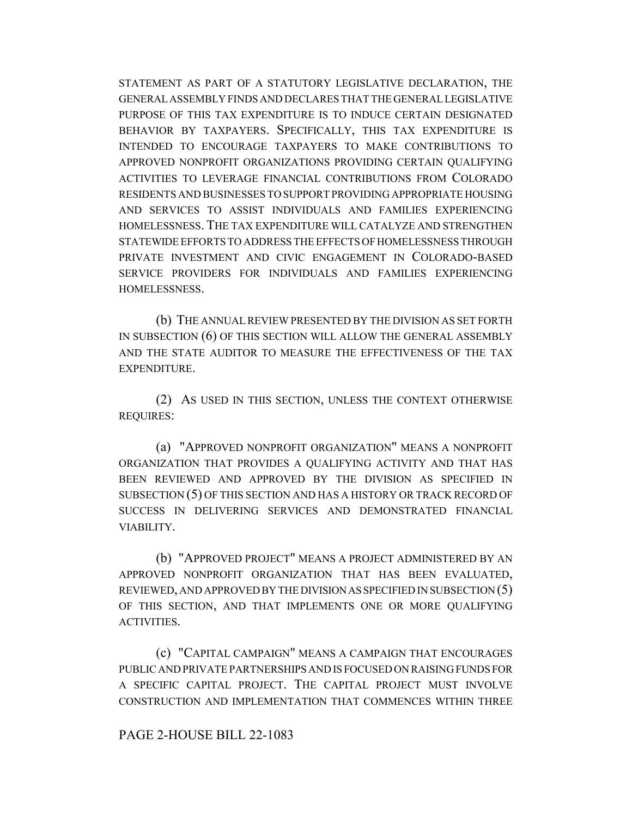STATEMENT AS PART OF A STATUTORY LEGISLATIVE DECLARATION, THE GENERAL ASSEMBLY FINDS AND DECLARES THAT THE GENERAL LEGISLATIVE PURPOSE OF THIS TAX EXPENDITURE IS TO INDUCE CERTAIN DESIGNATED BEHAVIOR BY TAXPAYERS. SPECIFICALLY, THIS TAX EXPENDITURE IS INTENDED TO ENCOURAGE TAXPAYERS TO MAKE CONTRIBUTIONS TO APPROVED NONPROFIT ORGANIZATIONS PROVIDING CERTAIN QUALIFYING ACTIVITIES TO LEVERAGE FINANCIAL CONTRIBUTIONS FROM COLORADO RESIDENTS AND BUSINESSES TO SUPPORT PROVIDING APPROPRIATE HOUSING AND SERVICES TO ASSIST INDIVIDUALS AND FAMILIES EXPERIENCING HOMELESSNESS. THE TAX EXPENDITURE WILL CATALYZE AND STRENGTHEN STATEWIDE EFFORTS TO ADDRESS THE EFFECTS OF HOMELESSNESS THROUGH PRIVATE INVESTMENT AND CIVIC ENGAGEMENT IN COLORADO-BASED SERVICE PROVIDERS FOR INDIVIDUALS AND FAMILIES EXPERIENCING HOMELESSNESS.

(b) THE ANNUAL REVIEW PRESENTED BY THE DIVISION AS SET FORTH IN SUBSECTION (6) OF THIS SECTION WILL ALLOW THE GENERAL ASSEMBLY AND THE STATE AUDITOR TO MEASURE THE EFFECTIVENESS OF THE TAX EXPENDITURE.

(2) AS USED IN THIS SECTION, UNLESS THE CONTEXT OTHERWISE REQUIRES:

(a) "APPROVED NONPROFIT ORGANIZATION" MEANS A NONPROFIT ORGANIZATION THAT PROVIDES A QUALIFYING ACTIVITY AND THAT HAS BEEN REVIEWED AND APPROVED BY THE DIVISION AS SPECIFIED IN SUBSECTION (5) OF THIS SECTION AND HAS A HISTORY OR TRACK RECORD OF SUCCESS IN DELIVERING SERVICES AND DEMONSTRATED FINANCIAL VIABILITY.

(b) "APPROVED PROJECT" MEANS A PROJECT ADMINISTERED BY AN APPROVED NONPROFIT ORGANIZATION THAT HAS BEEN EVALUATED, REVIEWED, AND APPROVED BY THE DIVISION AS SPECIFIED IN SUBSECTION (5) OF THIS SECTION, AND THAT IMPLEMENTS ONE OR MORE QUALIFYING ACTIVITIES.

(c) "CAPITAL CAMPAIGN" MEANS A CAMPAIGN THAT ENCOURAGES PUBLIC AND PRIVATE PARTNERSHIPS AND IS FOCUSED ON RAISING FUNDS FOR A SPECIFIC CAPITAL PROJECT. THE CAPITAL PROJECT MUST INVOLVE CONSTRUCTION AND IMPLEMENTATION THAT COMMENCES WITHIN THREE

## PAGE 2-HOUSE BILL 22-1083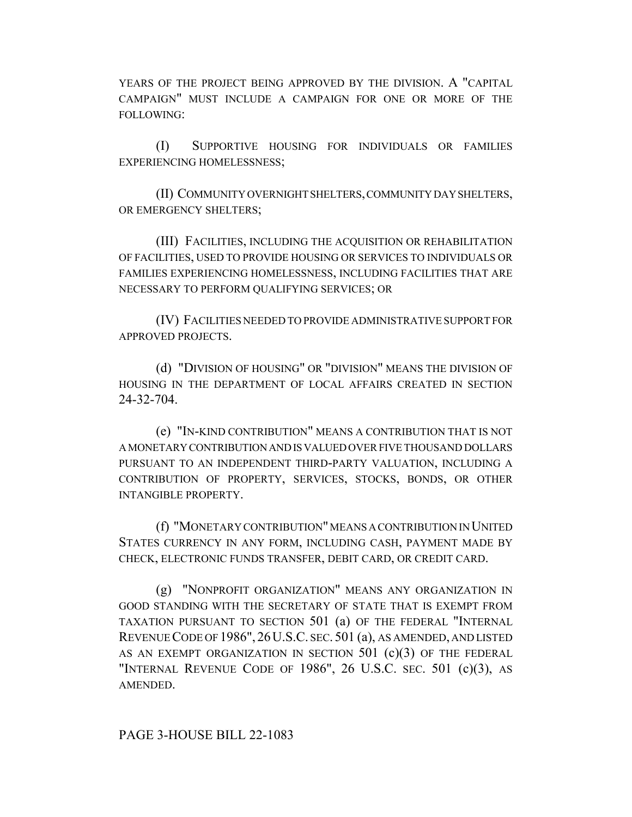YEARS OF THE PROJECT BEING APPROVED BY THE DIVISION. A "CAPITAL CAMPAIGN" MUST INCLUDE A CAMPAIGN FOR ONE OR MORE OF THE FOLLOWING:

(I) SUPPORTIVE HOUSING FOR INDIVIDUALS OR FAMILIES EXPERIENCING HOMELESSNESS;

(II) COMMUNITY OVERNIGHT SHELTERS, COMMUNITY DAY SHELTERS, OR EMERGENCY SHELTERS;

(III) FACILITIES, INCLUDING THE ACQUISITION OR REHABILITATION OF FACILITIES, USED TO PROVIDE HOUSING OR SERVICES TO INDIVIDUALS OR FAMILIES EXPERIENCING HOMELESSNESS, INCLUDING FACILITIES THAT ARE NECESSARY TO PERFORM QUALIFYING SERVICES; OR

(IV) FACILITIES NEEDED TO PROVIDE ADMINISTRATIVE SUPPORT FOR APPROVED PROJECTS.

(d) "DIVISION OF HOUSING" OR "DIVISION" MEANS THE DIVISION OF HOUSING IN THE DEPARTMENT OF LOCAL AFFAIRS CREATED IN SECTION 24-32-704.

(e) "IN-KIND CONTRIBUTION" MEANS A CONTRIBUTION THAT IS NOT A MONETARY CONTRIBUTION AND IS VALUED OVER FIVE THOUSAND DOLLARS PURSUANT TO AN INDEPENDENT THIRD-PARTY VALUATION, INCLUDING A CONTRIBUTION OF PROPERTY, SERVICES, STOCKS, BONDS, OR OTHER INTANGIBLE PROPERTY.

(f) "MONETARY CONTRIBUTION" MEANS A CONTRIBUTION IN UNITED STATES CURRENCY IN ANY FORM, INCLUDING CASH, PAYMENT MADE BY CHECK, ELECTRONIC FUNDS TRANSFER, DEBIT CARD, OR CREDIT CARD.

(g) "NONPROFIT ORGANIZATION" MEANS ANY ORGANIZATION IN GOOD STANDING WITH THE SECRETARY OF STATE THAT IS EXEMPT FROM TAXATION PURSUANT TO SECTION 501 (a) OF THE FEDERAL "INTERNAL REVENUE CODE OF 1986", 26U.S.C. SEC. 501 (a), AS AMENDED, AND LISTED AS AN EXEMPT ORGANIZATION IN SECTION 501 (c)(3) OF THE FEDERAL "INTERNAL REVENUE CODE OF 1986", 26 U.S.C. SEC. 501 (c)(3), AS AMENDED.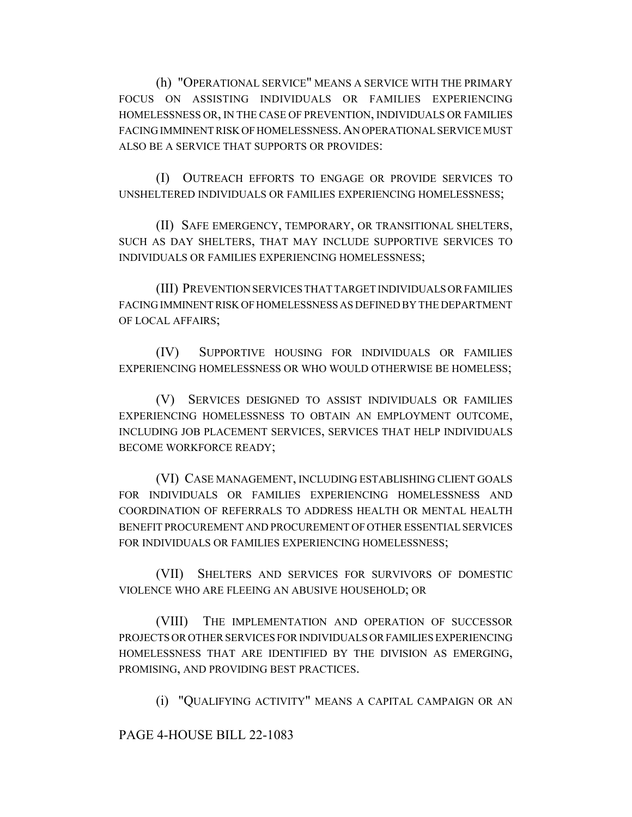(h) "OPERATIONAL SERVICE" MEANS A SERVICE WITH THE PRIMARY FOCUS ON ASSISTING INDIVIDUALS OR FAMILIES EXPERIENCING HOMELESSNESS OR, IN THE CASE OF PREVENTION, INDIVIDUALS OR FAMILIES FACING IMMINENT RISK OF HOMELESSNESS.AN OPERATIONAL SERVICE MUST ALSO BE A SERVICE THAT SUPPORTS OR PROVIDES:

(I) OUTREACH EFFORTS TO ENGAGE OR PROVIDE SERVICES TO UNSHELTERED INDIVIDUALS OR FAMILIES EXPERIENCING HOMELESSNESS;

(II) SAFE EMERGENCY, TEMPORARY, OR TRANSITIONAL SHELTERS, SUCH AS DAY SHELTERS, THAT MAY INCLUDE SUPPORTIVE SERVICES TO INDIVIDUALS OR FAMILIES EXPERIENCING HOMELESSNESS;

(III) PREVENTION SERVICES THAT TARGET INDIVIDUALS OR FAMILIES FACING IMMINENT RISK OF HOMELESSNESS AS DEFINED BY THE DEPARTMENT OF LOCAL AFFAIRS;

(IV) SUPPORTIVE HOUSING FOR INDIVIDUALS OR FAMILIES EXPERIENCING HOMELESSNESS OR WHO WOULD OTHERWISE BE HOMELESS;

(V) SERVICES DESIGNED TO ASSIST INDIVIDUALS OR FAMILIES EXPERIENCING HOMELESSNESS TO OBTAIN AN EMPLOYMENT OUTCOME, INCLUDING JOB PLACEMENT SERVICES, SERVICES THAT HELP INDIVIDUALS BECOME WORKFORCE READY;

(VI) CASE MANAGEMENT, INCLUDING ESTABLISHING CLIENT GOALS FOR INDIVIDUALS OR FAMILIES EXPERIENCING HOMELESSNESS AND COORDINATION OF REFERRALS TO ADDRESS HEALTH OR MENTAL HEALTH BENEFIT PROCUREMENT AND PROCUREMENT OF OTHER ESSENTIAL SERVICES FOR INDIVIDUALS OR FAMILIES EXPERIENCING HOMELESSNESS;

(VII) SHELTERS AND SERVICES FOR SURVIVORS OF DOMESTIC VIOLENCE WHO ARE FLEEING AN ABUSIVE HOUSEHOLD; OR

(VIII) THE IMPLEMENTATION AND OPERATION OF SUCCESSOR PROJECTS OR OTHER SERVICES FOR INDIVIDUALS OR FAMILIES EXPERIENCING HOMELESSNESS THAT ARE IDENTIFIED BY THE DIVISION AS EMERGING, PROMISING, AND PROVIDING BEST PRACTICES.

(i) "QUALIFYING ACTIVITY" MEANS A CAPITAL CAMPAIGN OR AN

PAGE 4-HOUSE BILL 22-1083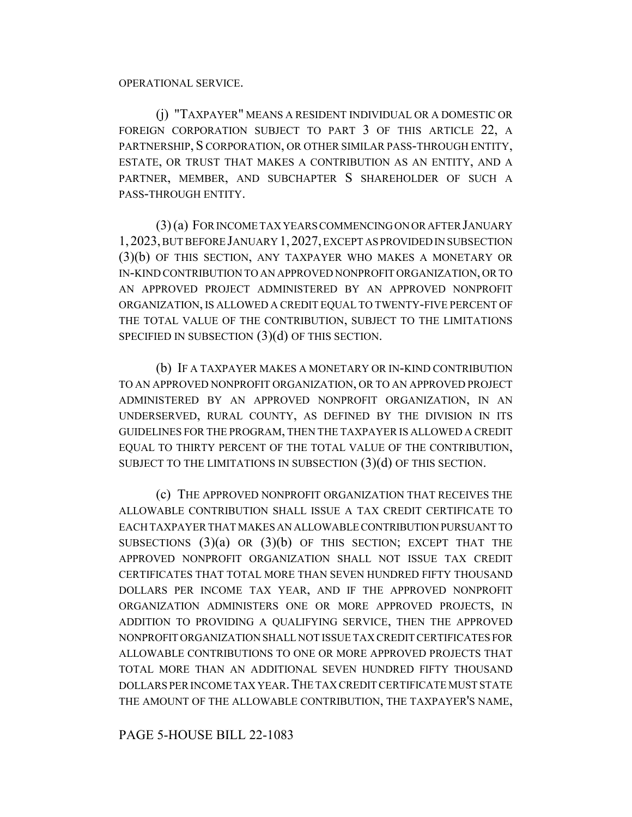(j) "TAXPAYER" MEANS A RESIDENT INDIVIDUAL OR A DOMESTIC OR FOREIGN CORPORATION SUBJECT TO PART 3 OF THIS ARTICLE 22, A PARTNERSHIP, S CORPORATION, OR OTHER SIMILAR PASS-THROUGH ENTITY, ESTATE, OR TRUST THAT MAKES A CONTRIBUTION AS AN ENTITY, AND A PARTNER, MEMBER, AND SUBCHAPTER S SHAREHOLDER OF SUCH A PASS-THROUGH ENTITY.

(3) (a) FOR INCOME TAX YEARS COMMENCING ON OR AFTER JANUARY 1,2023, BUT BEFORE JANUARY 1,2027, EXCEPT AS PROVIDED IN SUBSECTION (3)(b) OF THIS SECTION, ANY TAXPAYER WHO MAKES A MONETARY OR IN-KIND CONTRIBUTION TO AN APPROVED NONPROFIT ORGANIZATION, OR TO AN APPROVED PROJECT ADMINISTERED BY AN APPROVED NONPROFIT ORGANIZATION, IS ALLOWED A CREDIT EQUAL TO TWENTY-FIVE PERCENT OF THE TOTAL VALUE OF THE CONTRIBUTION, SUBJECT TO THE LIMITATIONS SPECIFIED IN SUBSECTION (3)(d) OF THIS SECTION.

(b) IF A TAXPAYER MAKES A MONETARY OR IN-KIND CONTRIBUTION TO AN APPROVED NONPROFIT ORGANIZATION, OR TO AN APPROVED PROJECT ADMINISTERED BY AN APPROVED NONPROFIT ORGANIZATION, IN AN UNDERSERVED, RURAL COUNTY, AS DEFINED BY THE DIVISION IN ITS GUIDELINES FOR THE PROGRAM, THEN THE TAXPAYER IS ALLOWED A CREDIT EQUAL TO THIRTY PERCENT OF THE TOTAL VALUE OF THE CONTRIBUTION, SUBJECT TO THE LIMITATIONS IN SUBSECTION  $(3)(d)$  OF THIS SECTION.

(c) THE APPROVED NONPROFIT ORGANIZATION THAT RECEIVES THE ALLOWABLE CONTRIBUTION SHALL ISSUE A TAX CREDIT CERTIFICATE TO EACH TAXPAYER THAT MAKES AN ALLOWABLE CONTRIBUTION PURSUANT TO SUBSECTIONS  $(3)(a)$  OR  $(3)(b)$  OF THIS SECTION; EXCEPT THAT THE APPROVED NONPROFIT ORGANIZATION SHALL NOT ISSUE TAX CREDIT CERTIFICATES THAT TOTAL MORE THAN SEVEN HUNDRED FIFTY THOUSAND DOLLARS PER INCOME TAX YEAR, AND IF THE APPROVED NONPROFIT ORGANIZATION ADMINISTERS ONE OR MORE APPROVED PROJECTS, IN ADDITION TO PROVIDING A QUALIFYING SERVICE, THEN THE APPROVED NONPROFIT ORGANIZATION SHALL NOT ISSUE TAX CREDIT CERTIFICATES FOR ALLOWABLE CONTRIBUTIONS TO ONE OR MORE APPROVED PROJECTS THAT TOTAL MORE THAN AN ADDITIONAL SEVEN HUNDRED FIFTY THOUSAND DOLLARS PER INCOME TAX YEAR.THE TAX CREDIT CERTIFICATE MUST STATE THE AMOUNT OF THE ALLOWABLE CONTRIBUTION, THE TAXPAYER'S NAME,

PAGE 5-HOUSE BILL 22-1083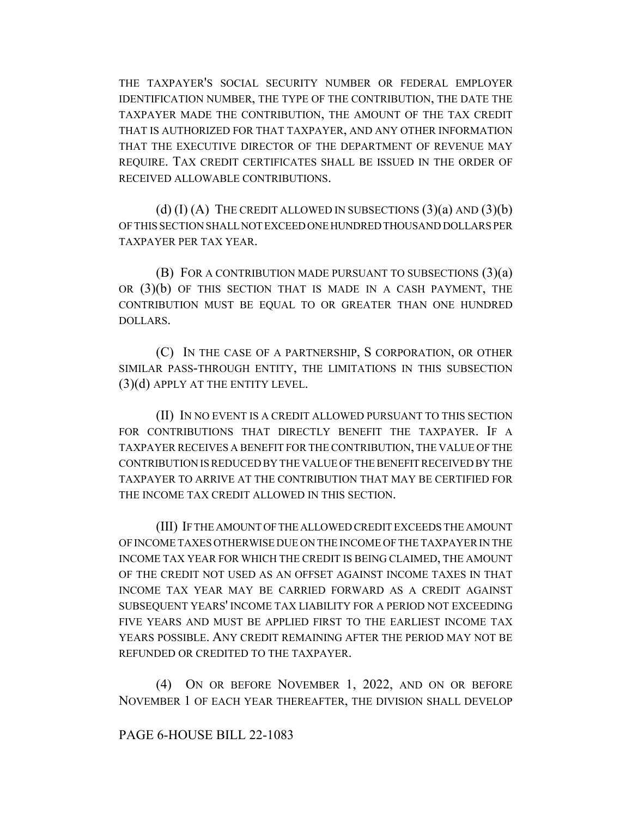THE TAXPAYER'S SOCIAL SECURITY NUMBER OR FEDERAL EMPLOYER IDENTIFICATION NUMBER, THE TYPE OF THE CONTRIBUTION, THE DATE THE TAXPAYER MADE THE CONTRIBUTION, THE AMOUNT OF THE TAX CREDIT THAT IS AUTHORIZED FOR THAT TAXPAYER, AND ANY OTHER INFORMATION THAT THE EXECUTIVE DIRECTOR OF THE DEPARTMENT OF REVENUE MAY REQUIRE. TAX CREDIT CERTIFICATES SHALL BE ISSUED IN THE ORDER OF RECEIVED ALLOWABLE CONTRIBUTIONS.

(d)  $(I)$  (A) THE CREDIT ALLOWED IN SUBSECTIONS  $(3)(a)$  AND  $(3)(b)$ OF THIS SECTION SHALL NOT EXCEED ONE HUNDRED THOUSAND DOLLARS PER TAXPAYER PER TAX YEAR.

(B) FOR A CONTRIBUTION MADE PURSUANT TO SUBSECTIONS (3)(a) OR (3)(b) OF THIS SECTION THAT IS MADE IN A CASH PAYMENT, THE CONTRIBUTION MUST BE EQUAL TO OR GREATER THAN ONE HUNDRED DOLLARS.

(C) IN THE CASE OF A PARTNERSHIP, S CORPORATION, OR OTHER SIMILAR PASS-THROUGH ENTITY, THE LIMITATIONS IN THIS SUBSECTION (3)(d) APPLY AT THE ENTITY LEVEL.

(II) IN NO EVENT IS A CREDIT ALLOWED PURSUANT TO THIS SECTION FOR CONTRIBUTIONS THAT DIRECTLY BENEFIT THE TAXPAYER. IF A TAXPAYER RECEIVES A BENEFIT FOR THE CONTRIBUTION, THE VALUE OF THE CONTRIBUTION IS REDUCED BY THE VALUE OF THE BENEFIT RECEIVED BY THE TAXPAYER TO ARRIVE AT THE CONTRIBUTION THAT MAY BE CERTIFIED FOR THE INCOME TAX CREDIT ALLOWED IN THIS SECTION.

(III) IF THE AMOUNT OF THE ALLOWED CREDIT EXCEEDS THE AMOUNT OF INCOME TAXES OTHERWISE DUE ON THE INCOME OF THE TAXPAYER IN THE INCOME TAX YEAR FOR WHICH THE CREDIT IS BEING CLAIMED, THE AMOUNT OF THE CREDIT NOT USED AS AN OFFSET AGAINST INCOME TAXES IN THAT INCOME TAX YEAR MAY BE CARRIED FORWARD AS A CREDIT AGAINST SUBSEQUENT YEARS' INCOME TAX LIABILITY FOR A PERIOD NOT EXCEEDING FIVE YEARS AND MUST BE APPLIED FIRST TO THE EARLIEST INCOME TAX YEARS POSSIBLE. ANY CREDIT REMAINING AFTER THE PERIOD MAY NOT BE REFUNDED OR CREDITED TO THE TAXPAYER.

(4) ON OR BEFORE NOVEMBER 1, 2022, AND ON OR BEFORE NOVEMBER 1 OF EACH YEAR THEREAFTER, THE DIVISION SHALL DEVELOP

# PAGE 6-HOUSE BILL 22-1083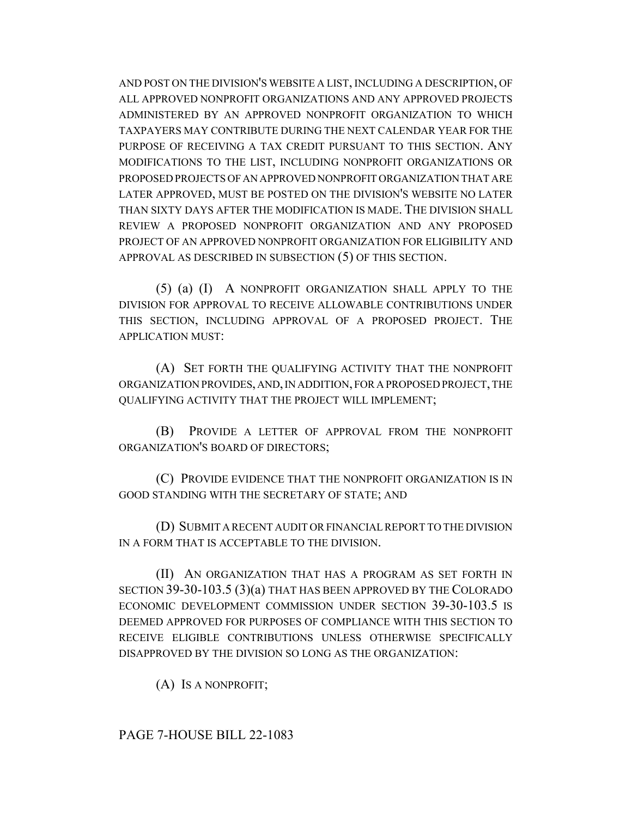AND POST ON THE DIVISION'S WEBSITE A LIST, INCLUDING A DESCRIPTION, OF ALL APPROVED NONPROFIT ORGANIZATIONS AND ANY APPROVED PROJECTS ADMINISTERED BY AN APPROVED NONPROFIT ORGANIZATION TO WHICH TAXPAYERS MAY CONTRIBUTE DURING THE NEXT CALENDAR YEAR FOR THE PURPOSE OF RECEIVING A TAX CREDIT PURSUANT TO THIS SECTION. ANY MODIFICATIONS TO THE LIST, INCLUDING NONPROFIT ORGANIZATIONS OR PROPOSED PROJECTS OF AN APPROVED NONPROFIT ORGANIZATION THAT ARE LATER APPROVED, MUST BE POSTED ON THE DIVISION'S WEBSITE NO LATER THAN SIXTY DAYS AFTER THE MODIFICATION IS MADE. THE DIVISION SHALL REVIEW A PROPOSED NONPROFIT ORGANIZATION AND ANY PROPOSED PROJECT OF AN APPROVED NONPROFIT ORGANIZATION FOR ELIGIBILITY AND APPROVAL AS DESCRIBED IN SUBSECTION (5) OF THIS SECTION.

(5) (a) (I) A NONPROFIT ORGANIZATION SHALL APPLY TO THE DIVISION FOR APPROVAL TO RECEIVE ALLOWABLE CONTRIBUTIONS UNDER THIS SECTION, INCLUDING APPROVAL OF A PROPOSED PROJECT. THE APPLICATION MUST:

(A) SET FORTH THE QUALIFYING ACTIVITY THAT THE NONPROFIT ORGANIZATION PROVIDES, AND, IN ADDITION, FOR A PROPOSED PROJECT, THE QUALIFYING ACTIVITY THAT THE PROJECT WILL IMPLEMENT;

(B) PROVIDE A LETTER OF APPROVAL FROM THE NONPROFIT ORGANIZATION'S BOARD OF DIRECTORS;

(C) PROVIDE EVIDENCE THAT THE NONPROFIT ORGANIZATION IS IN GOOD STANDING WITH THE SECRETARY OF STATE; AND

(D) SUBMIT A RECENT AUDIT OR FINANCIAL REPORT TO THE DIVISION IN A FORM THAT IS ACCEPTABLE TO THE DIVISION.

(II) AN ORGANIZATION THAT HAS A PROGRAM AS SET FORTH IN SECTION 39-30-103.5 (3)(a) THAT HAS BEEN APPROVED BY THE COLORADO ECONOMIC DEVELOPMENT COMMISSION UNDER SECTION 39-30-103.5 IS DEEMED APPROVED FOR PURPOSES OF COMPLIANCE WITH THIS SECTION TO RECEIVE ELIGIBLE CONTRIBUTIONS UNLESS OTHERWISE SPECIFICALLY DISAPPROVED BY THE DIVISION SO LONG AS THE ORGANIZATION:

(A) IS A NONPROFIT;

## PAGE 7-HOUSE BILL 22-1083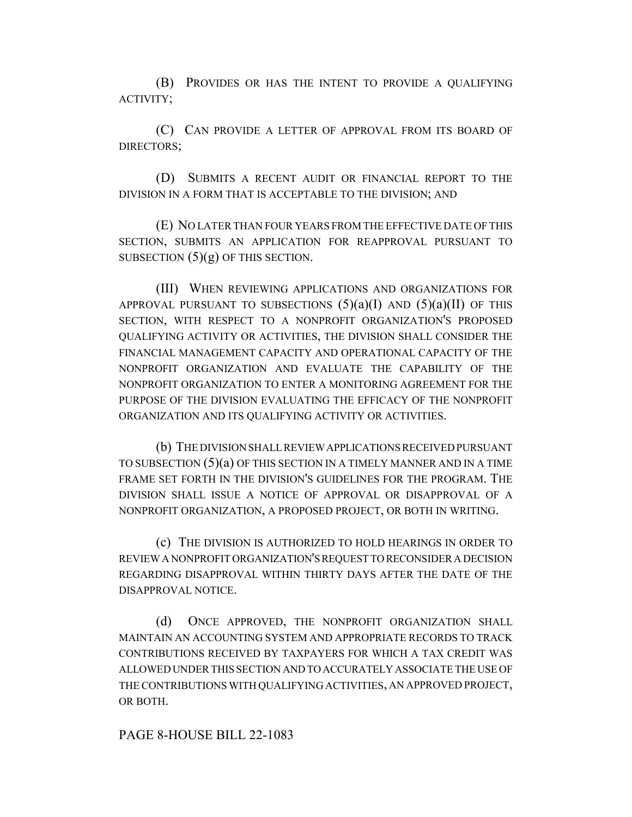(B) PROVIDES OR HAS THE INTENT TO PROVIDE A QUALIFYING ACTIVITY;

(C) CAN PROVIDE A LETTER OF APPROVAL FROM ITS BOARD OF DIRECTORS;

(D) SUBMITS A RECENT AUDIT OR FINANCIAL REPORT TO THE DIVISION IN A FORM THAT IS ACCEPTABLE TO THE DIVISION; AND

(E) NO LATER THAN FOUR YEARS FROM THE EFFECTIVE DATE OF THIS SECTION, SUBMITS AN APPLICATION FOR REAPPROVAL PURSUANT TO SUBSECTION  $(5)(g)$  OF THIS SECTION.

(III) WHEN REVIEWING APPLICATIONS AND ORGANIZATIONS FOR APPROVAL PURSUANT TO SUBSECTIONS  $(5)(a)(I)$  AND  $(5)(a)(II)$  OF THIS SECTION, WITH RESPECT TO A NONPROFIT ORGANIZATION'S PROPOSED QUALIFYING ACTIVITY OR ACTIVITIES, THE DIVISION SHALL CONSIDER THE FINANCIAL MANAGEMENT CAPACITY AND OPERATIONAL CAPACITY OF THE NONPROFIT ORGANIZATION AND EVALUATE THE CAPABILITY OF THE NONPROFIT ORGANIZATION TO ENTER A MONITORING AGREEMENT FOR THE PURPOSE OF THE DIVISION EVALUATING THE EFFICACY OF THE NONPROFIT ORGANIZATION AND ITS QUALIFYING ACTIVITY OR ACTIVITIES.

(b) THE DIVISION SHALL REVIEW APPLICATIONS RECEIVED PURSUANT TO SUBSECTION (5)(a) OF THIS SECTION IN A TIMELY MANNER AND IN A TIME FRAME SET FORTH IN THE DIVISION'S GUIDELINES FOR THE PROGRAM. THE DIVISION SHALL ISSUE A NOTICE OF APPROVAL OR DISAPPROVAL OF A NONPROFIT ORGANIZATION, A PROPOSED PROJECT, OR BOTH IN WRITING.

(c) THE DIVISION IS AUTHORIZED TO HOLD HEARINGS IN ORDER TO REVIEW A NONPROFIT ORGANIZATION'S REQUEST TO RECONSIDER A DECISION REGARDING DISAPPROVAL WITHIN THIRTY DAYS AFTER THE DATE OF THE DISAPPROVAL NOTICE.

(d) ONCE APPROVED, THE NONPROFIT ORGANIZATION SHALL MAINTAIN AN ACCOUNTING SYSTEM AND APPROPRIATE RECORDS TO TRACK CONTRIBUTIONS RECEIVED BY TAXPAYERS FOR WHICH A TAX CREDIT WAS ALLOWED UNDER THIS SECTION AND TO ACCURATELY ASSOCIATE THE USE OF THE CONTRIBUTIONS WITH QUALIFYING ACTIVITIES, AN APPROVED PROJECT, OR BOTH.

### PAGE 8-HOUSE BILL 22-1083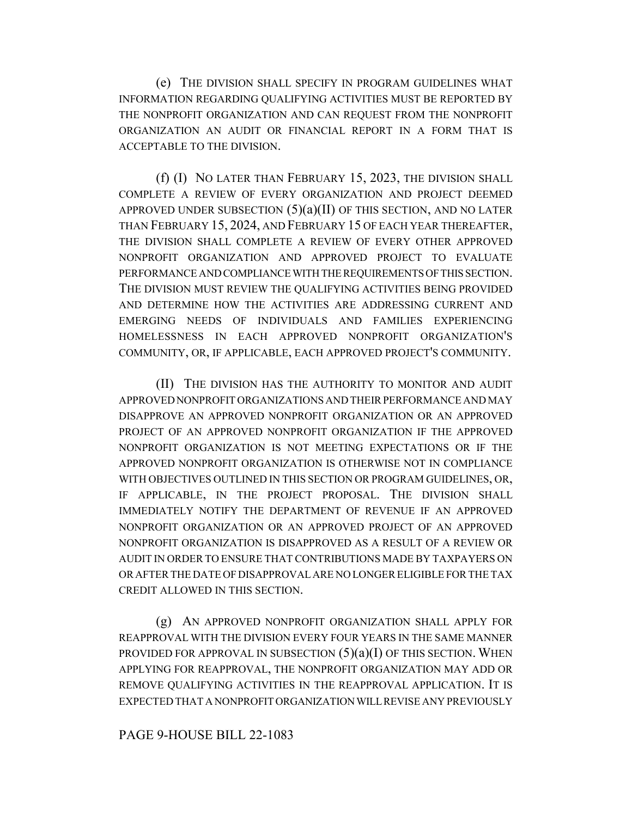(e) THE DIVISION SHALL SPECIFY IN PROGRAM GUIDELINES WHAT INFORMATION REGARDING QUALIFYING ACTIVITIES MUST BE REPORTED BY THE NONPROFIT ORGANIZATION AND CAN REQUEST FROM THE NONPROFIT ORGANIZATION AN AUDIT OR FINANCIAL REPORT IN A FORM THAT IS ACCEPTABLE TO THE DIVISION.

(f) (I) NO LATER THAN FEBRUARY 15, 2023, THE DIVISION SHALL COMPLETE A REVIEW OF EVERY ORGANIZATION AND PROJECT DEEMED APPROVED UNDER SUBSECTION  $(5)(a)(II)$  OF THIS SECTION, AND NO LATER THAN FEBRUARY 15, 2024, AND FEBRUARY 15 OF EACH YEAR THEREAFTER, THE DIVISION SHALL COMPLETE A REVIEW OF EVERY OTHER APPROVED NONPROFIT ORGANIZATION AND APPROVED PROJECT TO EVALUATE PERFORMANCE AND COMPLIANCE WITH THE REQUIREMENTS OF THIS SECTION. THE DIVISION MUST REVIEW THE QUALIFYING ACTIVITIES BEING PROVIDED AND DETERMINE HOW THE ACTIVITIES ARE ADDRESSING CURRENT AND EMERGING NEEDS OF INDIVIDUALS AND FAMILIES EXPERIENCING HOMELESSNESS IN EACH APPROVED NONPROFIT ORGANIZATION'S COMMUNITY, OR, IF APPLICABLE, EACH APPROVED PROJECT'S COMMUNITY.

(II) THE DIVISION HAS THE AUTHORITY TO MONITOR AND AUDIT APPROVED NONPROFIT ORGANIZATIONS AND THEIR PERFORMANCE AND MAY DISAPPROVE AN APPROVED NONPROFIT ORGANIZATION OR AN APPROVED PROJECT OF AN APPROVED NONPROFIT ORGANIZATION IF THE APPROVED NONPROFIT ORGANIZATION IS NOT MEETING EXPECTATIONS OR IF THE APPROVED NONPROFIT ORGANIZATION IS OTHERWISE NOT IN COMPLIANCE WITH OBJECTIVES OUTLINED IN THIS SECTION OR PROGRAM GUIDELINES, OR, IF APPLICABLE, IN THE PROJECT PROPOSAL. THE DIVISION SHALL IMMEDIATELY NOTIFY THE DEPARTMENT OF REVENUE IF AN APPROVED NONPROFIT ORGANIZATION OR AN APPROVED PROJECT OF AN APPROVED NONPROFIT ORGANIZATION IS DISAPPROVED AS A RESULT OF A REVIEW OR AUDIT IN ORDER TO ENSURE THAT CONTRIBUTIONS MADE BY TAXPAYERS ON OR AFTER THE DATE OF DISAPPROVAL ARE NO LONGER ELIGIBLE FOR THE TAX CREDIT ALLOWED IN THIS SECTION.

(g) AN APPROVED NONPROFIT ORGANIZATION SHALL APPLY FOR REAPPROVAL WITH THE DIVISION EVERY FOUR YEARS IN THE SAME MANNER PROVIDED FOR APPROVAL IN SUBSECTION  $(5)(a)(I)$  OF THIS SECTION. WHEN APPLYING FOR REAPPROVAL, THE NONPROFIT ORGANIZATION MAY ADD OR REMOVE QUALIFYING ACTIVITIES IN THE REAPPROVAL APPLICATION. IT IS EXPECTED THAT A NONPROFIT ORGANIZATION WILL REVISE ANY PREVIOUSLY

## PAGE 9-HOUSE BILL 22-1083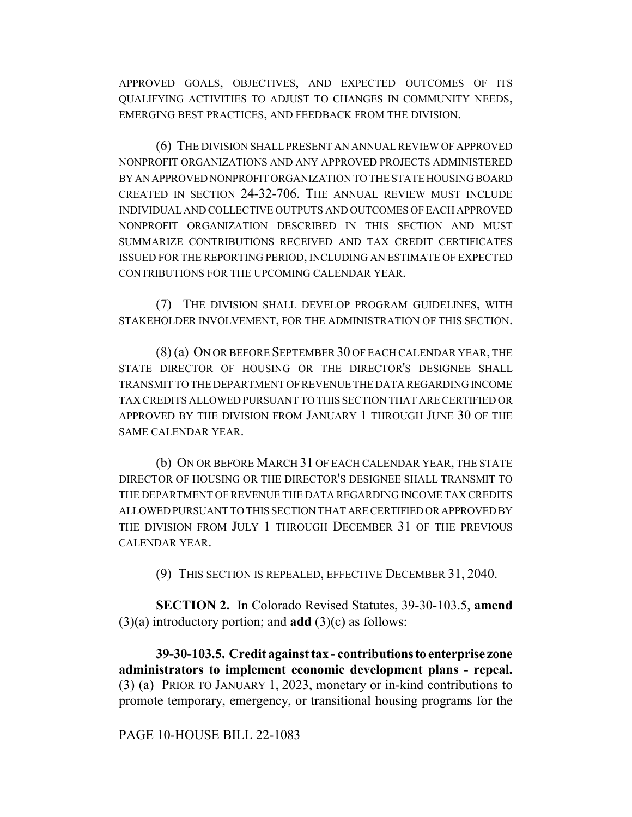APPROVED GOALS, OBJECTIVES, AND EXPECTED OUTCOMES OF ITS QUALIFYING ACTIVITIES TO ADJUST TO CHANGES IN COMMUNITY NEEDS, EMERGING BEST PRACTICES, AND FEEDBACK FROM THE DIVISION.

(6) THE DIVISION SHALL PRESENT AN ANNUAL REVIEW OF APPROVED NONPROFIT ORGANIZATIONS AND ANY APPROVED PROJECTS ADMINISTERED BY AN APPROVED NONPROFIT ORGANIZATION TO THE STATE HOUSING BOARD CREATED IN SECTION 24-32-706. THE ANNUAL REVIEW MUST INCLUDE INDIVIDUAL AND COLLECTIVE OUTPUTS AND OUTCOMES OF EACH APPROVED NONPROFIT ORGANIZATION DESCRIBED IN THIS SECTION AND MUST SUMMARIZE CONTRIBUTIONS RECEIVED AND TAX CREDIT CERTIFICATES ISSUED FOR THE REPORTING PERIOD, INCLUDING AN ESTIMATE OF EXPECTED CONTRIBUTIONS FOR THE UPCOMING CALENDAR YEAR.

(7) THE DIVISION SHALL DEVELOP PROGRAM GUIDELINES, WITH STAKEHOLDER INVOLVEMENT, FOR THE ADMINISTRATION OF THIS SECTION.

(8) (a) ON OR BEFORE SEPTEMBER 30 OF EACH CALENDAR YEAR, THE STATE DIRECTOR OF HOUSING OR THE DIRECTOR'S DESIGNEE SHALL TRANSMIT TO THE DEPARTMENT OF REVENUE THE DATA REGARDING INCOME TAX CREDITS ALLOWED PURSUANT TO THIS SECTION THAT ARE CERTIFIED OR APPROVED BY THE DIVISION FROM JANUARY 1 THROUGH JUNE 30 OF THE SAME CALENDAR YEAR.

(b) ON OR BEFORE MARCH 31 OF EACH CALENDAR YEAR, THE STATE DIRECTOR OF HOUSING OR THE DIRECTOR'S DESIGNEE SHALL TRANSMIT TO THE DEPARTMENT OF REVENUE THE DATA REGARDING INCOME TAX CREDITS ALLOWED PURSUANT TO THIS SECTION THAT ARE CERTIFIED OR APPROVED BY THE DIVISION FROM JULY 1 THROUGH DECEMBER 31 OF THE PREVIOUS CALENDAR YEAR.

(9) THIS SECTION IS REPEALED, EFFECTIVE DECEMBER 31, 2040.

**SECTION 2.** In Colorado Revised Statutes, 39-30-103.5, **amend** (3)(a) introductory portion; and **add** (3)(c) as follows:

**39-30-103.5. Credit against tax - contributions to enterprise zone administrators to implement economic development plans - repeal.** (3) (a) PRIOR TO JANUARY 1, 2023, monetary or in-kind contributions to promote temporary, emergency, or transitional housing programs for the

PAGE 10-HOUSE BILL 22-1083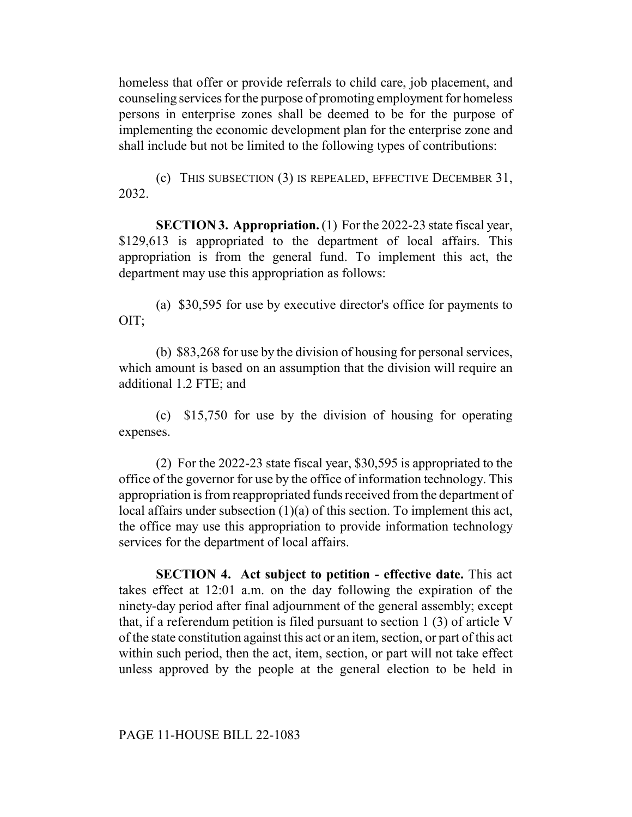homeless that offer or provide referrals to child care, job placement, and counseling services for the purpose of promoting employment for homeless persons in enterprise zones shall be deemed to be for the purpose of implementing the economic development plan for the enterprise zone and shall include but not be limited to the following types of contributions:

(c) THIS SUBSECTION (3) IS REPEALED, EFFECTIVE DECEMBER 31, 2032.

**SECTION 3. Appropriation.** (1) For the 2022-23 state fiscal year, \$129,613 is appropriated to the department of local affairs. This appropriation is from the general fund. To implement this act, the department may use this appropriation as follows:

(a) \$30,595 for use by executive director's office for payments to OIT;

(b) \$83,268 for use by the division of housing for personal services, which amount is based on an assumption that the division will require an additional 1.2 FTE; and

(c) \$15,750 for use by the division of housing for operating expenses.

(2) For the 2022-23 state fiscal year, \$30,595 is appropriated to the office of the governor for use by the office of information technology. This appropriation is from reappropriated funds received from the department of local affairs under subsection (1)(a) of this section. To implement this act, the office may use this appropriation to provide information technology services for the department of local affairs.

**SECTION 4. Act subject to petition - effective date.** This act takes effect at 12:01 a.m. on the day following the expiration of the ninety-day period after final adjournment of the general assembly; except that, if a referendum petition is filed pursuant to section 1 (3) of article V of the state constitution against this act or an item, section, or part of this act within such period, then the act, item, section, or part will not take effect unless approved by the people at the general election to be held in